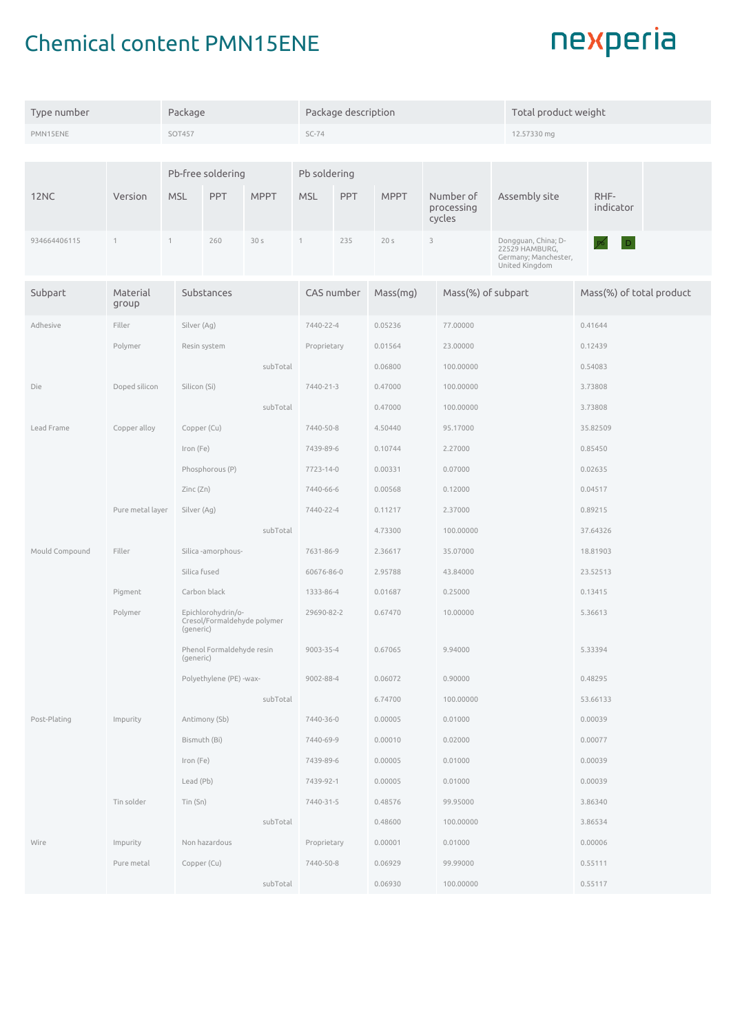## Chemical content PMN15ENE

| Type number      | Package                         |                                        |                                                                |                 | Package description |             |                 |              |                                   | Total product weight                                                            |          |                          |  |  |
|------------------|---------------------------------|----------------------------------------|----------------------------------------------------------------|-----------------|---------------------|-------------|-----------------|--------------|-----------------------------------|---------------------------------------------------------------------------------|----------|--------------------------|--|--|
| PMN15ENE         | <b>SOT457</b>                   |                                        |                                                                | $SC-74$         |                     |             |                 |              | 12.57330 mg                       |                                                                                 |          |                          |  |  |
|                  |                                 |                                        |                                                                |                 |                     |             |                 |              |                                   |                                                                                 |          |                          |  |  |
|                  |                                 |                                        | Pb-free soldering                                              |                 | Pb soldering        |             |                 |              |                                   |                                                                                 |          |                          |  |  |
| 12 <sub>NC</sub> | Version                         | <b>MSL</b>                             | PPT                                                            | <b>MPPT</b>     | <b>MSL</b>          | <b>PPT</b>  | <b>MPPT</b>     |              | Number of<br>processing<br>cycles | Assembly site                                                                   |          | RHF-<br>indicator        |  |  |
| 934664406115     | $\mathbf{1}$                    | $\mathbf{1}$                           | 260                                                            | 30 <sub>s</sub> | 1                   | 235         | 20 <sub>s</sub> | $\mathbf{3}$ |                                   | Dongguan, China; D-<br>22529 HAMBURG,<br>Germany; Manchester,<br>United Kingdom |          | D                        |  |  |
| Subpart          | Material<br>group               |                                        | Substances                                                     |                 |                     | CAS number  | Mass(mg)        |              |                                   | Mass(%) of subpart                                                              |          | Mass(%) of total product |  |  |
| Adhesive         | Filler                          |                                        | Silver (Ag)                                                    |                 |                     | 7440-22-4   | 0.05236         |              | 77.00000                          |                                                                                 | 0.41644  |                          |  |  |
|                  | Polymer                         | Resin system                           |                                                                |                 | Proprietary         |             | 0.01564         |              | 23.00000                          |                                                                                 |          | 0.12439                  |  |  |
|                  |                                 |                                        |                                                                | subTotal        |                     |             | 0.06800         | 100.00000    |                                   |                                                                                 |          | 0.54083                  |  |  |
| Die              |                                 | Silicon (Si)                           |                                                                |                 | 7440-21-3           | 0.47000     | 100.00000       |              |                                   |                                                                                 | 3.73808  |                          |  |  |
|                  |                                 |                                        | subTotal                                                       |                 |                     |             | 0.47000         |              | 100.00000                         |                                                                                 | 3.73808  |                          |  |  |
| Lead Frame       | Copper alloy                    |                                        |                                                                | Copper (Cu)     |                     |             | 4.50440         |              | 95.17000                          |                                                                                 |          | 35.82509                 |  |  |
|                  |                                 | Iron (Fe)                              |                                                                |                 | 7439-89-6           |             | 0.10744         |              | 2.27000                           |                                                                                 |          | 0.85450                  |  |  |
|                  |                                 |                                        | Phosphorous (P)                                                |                 |                     | 7723-14-0   | 0.00331         |              | 0.07000                           |                                                                                 |          | 0.02635                  |  |  |
|                  |                                 | Zinc(Zn)                               |                                                                |                 | 7440-66-6           |             | 0.00568         |              | 0.12000                           |                                                                                 |          | 0.04517                  |  |  |
|                  | Pure metal layer<br>Silver (Ag) |                                        |                                                                | 7440-22-4       |                     | 0.11217     |                 | 2.37000      |                                   | 0.89215                                                                         |          |                          |  |  |
|                  |                                 | subTotal                               |                                                                |                 |                     | 4.73300     |                 | 100.00000    |                                   |                                                                                 | 37.64326 |                          |  |  |
| Mould Compound   | Filler                          |                                        | Silica-amorphous-                                              |                 |                     | 7631-86-9   | 2.36617         |              | 35.07000                          |                                                                                 | 18.81903 |                          |  |  |
|                  |                                 |                                        | Silica fused                                                   |                 |                     | 60676-86-0  | 2.95788         |              | 43.84000                          |                                                                                 | 23.52513 |                          |  |  |
|                  | Pigment                         |                                        | Carbon black                                                   |                 |                     | 1333-86-4   | 0.01687         |              | 0.25000                           |                                                                                 | 0.13415  |                          |  |  |
|                  | Polymer                         |                                        | Epichlorohydrin/o-<br>Cresol/Formaldehyde polymer<br>(generic) |                 |                     | 29690-82-2  | 0.67470         |              | 10.00000                          |                                                                                 | 5.36613  |                          |  |  |
|                  |                                 | Phenol Formaldehyde resin<br>(generic) |                                                                |                 | 9003-35-4           | 0.67065     |                 | 9.94000      |                                   | 5.33394                                                                         |          |                          |  |  |
|                  | Polyethylene (PE) -wax-         |                                        |                                                                |                 | 9002-88-4           |             | 0.06072         |              | 0.90000                           |                                                                                 | 0.48295  |                          |  |  |
|                  |                                 |                                        | subTotal                                                       |                 |                     | 6.74700     |                 | 100.00000    |                                   | 53.66133                                                                        |          |                          |  |  |
| Post-Plating     | Impurity                        |                                        | Antimony (Sb)                                                  |                 |                     | 7440-36-0   | 0.00005         | 0.01000      |                                   |                                                                                 |          | 0.00039                  |  |  |
|                  |                                 |                                        | Bismuth (Bi)                                                   |                 |                     | 7440-69-9   | 0.00010         | 0.02000      |                                   |                                                                                 | 0.00077  |                          |  |  |
|                  |                                 |                                        | Iron (Fe)                                                      |                 |                     | 7439-89-6   | 0.00005         |              | 0.01000                           |                                                                                 | 0.00039  |                          |  |  |
|                  |                                 |                                        | Lead (Pb)                                                      |                 |                     | 7439-92-1   | 0.00005         |              | 0.01000                           |                                                                                 |          | 0.00039                  |  |  |
|                  | Tin solder<br>Tin (Sn)          |                                        |                                                                |                 | 7440-31-5           |             | 0.48576         |              | 99.95000                          |                                                                                 |          | 3.86340                  |  |  |
|                  |                                 | subTotal                               |                                                                |                 |                     |             | 0.48600         |              | 100.00000                         |                                                                                 |          | 3.86534                  |  |  |
| Wire             | Impurity                        |                                        | Non hazardous                                                  |                 |                     | Proprietary | 0.00001         |              | 0.01000                           |                                                                                 |          | 0.00006                  |  |  |
|                  | Pure metal                      |                                        | Copper (Cu)                                                    |                 | 7440-50-8           |             | 0.06929         |              | 99.99000                          |                                                                                 |          | 0.55111                  |  |  |
|                  |                                 | subTotal                               |                                                                |                 |                     |             | 0.06930         |              | 100.00000                         |                                                                                 |          | 0.55117                  |  |  |

## nexperia